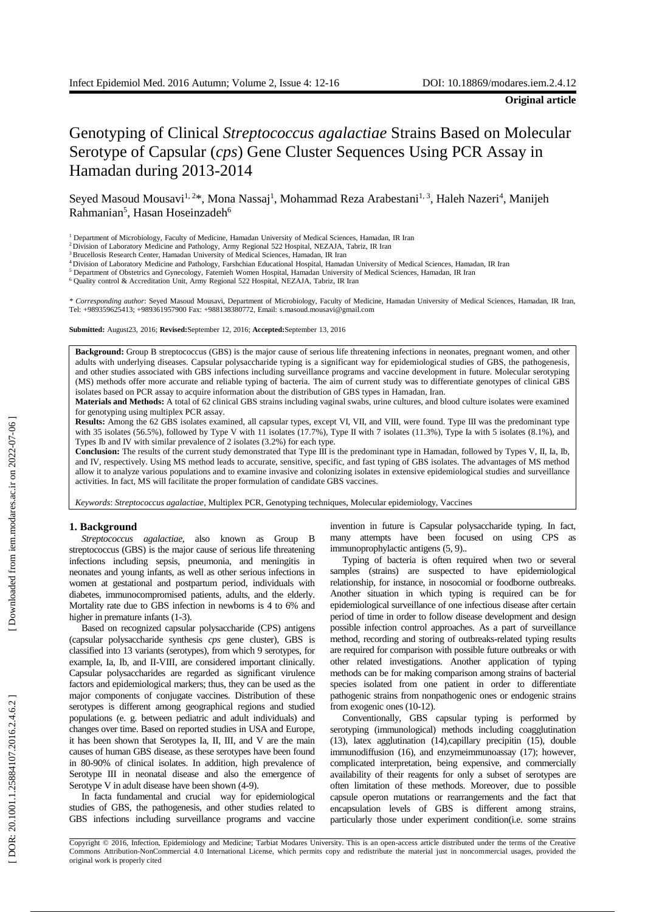# Genotyping of Clinical *Streptococcus agalactiae* Strains Based on Molecular Serotype of Capsular ( *cps*) Gene Cluster Sequences Using PCR Assay in Hamadan during 2013 -2014

Seyed Masoud Mousavi<sup>1, 2\*</sup>, Mona Nassaj<sup>1</sup>, Mohammad Reza Arabestani<sup>1, 3</sup>, Haleh Nazeri<sup>4</sup>, Manijeh Rahmanian<sup>5</sup>, Hasan Hoseinzadeh<sup>6</sup>

<sup>6</sup> Quality control & Accreditation Unit, Army Regional 522 Hospital, NEZAJA, Tabriz, IR Iran

*\* Corresponding author*: Seyed Masoud Mousavi, Department of Microbiology, Faculty of Medicine, Hamadan University of Medical Sciences, Hamadan, IR Iran, Tel: +989359625413; +989361957900 Fax: +988138380772, Email: s.masoud.mousavi@gmail.com

**Submitted:** August23, 2016; **Revised:**September 12, 2016; **Accepted:**September 13, 2016

Background: Group B streptococcus (GBS) is the major cause of serious life threatening infections in neonates, pregnant women, and other adults with underlying diseases. Capsular polysaccharide typing is a significant way for epidemiological studies of GBS, the pathogenesis , and other studies associated with GBS infections including surveillance programs and vaccine development in future. Molecular serotyping (MS) methods offer more accurate and reliable typing of bacteria. The aim of current study was to differentiate genotypes of clinical GBS isolates based on PCR assay to acquire information about the distribution of GBS types in Hamadan, Iran.

**Material s and Methods:** A total of 62 clinical GBS strains including vaginal swabs, urine cultures, and blood culture isolates were examined for genotyping using multiplex PCR assay.

Results: Among the 62 GBS isolates examined, all capsular types, except VI, VII, and VIII, were found. Type III was the predominant type with 35 isolates  $(56.5\%)$ , followed by Type V with 11 isolates  $(17.7\%)$ , Type II with 7 isolates  $(11.3\%)$ , Type Ia with 5 isolates  $(8.1\%)$ , and Types Ib and IV with similar prevalence of 2 isolates (3.2%) for each type .

Conclusion: The results of the current study demonstrated that Type III is the predominant type in Hamadan, followed by Types V, II, Ia, Ib, and IV , respectively. Using MS method leads to accurate, sensitive, specific, and fast typing of GBS isolates. The advantages of MS method allow it to analyze various populations and to examine invasive and colonizing isolates in extensive epidemiological studies and surveillance activities. In fact, MS will facilitate the proper formulation of candidate GBS vaccines.

Keywords: Streptococcus agalactiae, Multiplex PCR, Genotyping techniques, Molecular [epidemiology](http://www.ncbi.nlm.nih.gov/mesh/68017720), Vaccines

## **1. Background**

*Streptococcus agalactiae*, also known as Group B streptococcus (GBS) is the major cause of serious life threatening infection s including sepsis, pneumonia , and meningitis in neonates and young infants , as well as other serious infections in women at gestational and postpartum period, individuals with diabetes, immunocompromised patients , adults , and the elderly. Mortality rate due to GBS infection in newborns is 4 to 6 % and higher in premature infants (1-3).

Based on recognized capsular polysaccharide (CPS) antigens (capsular polysaccharide synthesis *cps* gene cluster) , GBS is classified into 13 variants (serotypes), from which 9 serotypes , for example, Ia, Ib, and II -VIII , are considered important clinically. Capsular polysaccharides are regarded as significant virulence factors and epidemiological markers; thus , they can be used as the major components of conjugate vaccines. Distribution of these serotypes is different among geographical region s and studied populations (e. g. between pediatric and adult individuals ) and changes over time . Based on reported studies in USA and Europe, it has been shown that Serotypes Ia, II, III, and V are the main causes of human GBS disease , as these serotypes have been found in 80 -90% of clinical isolates. In addition, high prevalence of Serotype III in neonatal disease and also the emergence of Serotype V in adult disease have been shown (4-9).

In facta fundamental and crucial way for epidemiological studies of GBS, the pathogenesis, and other studies related to GBS infections including surveillance programs and vaccine invention in future is Capsular polysaccharide typing. In fact, many attempts have been focused on using CPS as immunoprophylactic antigens  $(5, 9)$ .

Typing of bacteria is often required when two or several samples (strains ) are suspected to have epidemiological relationship, for instance, in nosocomial or foodborne outbreaks. Another situation in which typing is required can be for epidemiological surveillance of one infectious disease after certain period of time in order to follow disease development and design possible infection control approaches. As a part of surveillance method, recording and storing of outbreaks -related typing results are required for comparison with possible future outbreaks or with other related investigations. Another application of typing methods can be for making comparison among strains of bacterial species isolated from one patient in order to differentiat e pathogenic strains from nonpathogenic ones or endogenic strains from exogenic ones (10-12).

Conventionally, GBS capsular typing is performed by serotyping (immunological) methods including coagglutination (13), latex agglutination (14),capillary precipitin (15), double immunodiffusion (16), and enzymeimmunoassay (17); however, complicated interpretation, being expensive, and commercially availability of their reagents for only a subset of serotypes are often limitation of these method s. Moreover, due to possible capsule operon mutations or rearrangements and the fact that encapsulation levels of GBS is different among strains , particularly those under experiment condition (i.e. some strains

<sup>1</sup> Department of Microbiology, Faculty of Medicine, Hamadan University of Medical Sciences, Hamadan, IR Iran

<sup>2</sup>Division of Laboratory Medicine and Pathology, Army Regional 522 Hospital, NEZAJA, Tabriz, IR Iran

<sup>&</sup>lt;sup>3</sup> Brucellosis Research Center, Hamadan University of Medical Sciences, Hamadan, IR Iran

<sup>4</sup>Division of Laboratory Medicine and Pathology, Farshchian Educational Hospital, Hamadan University of Medical Sciences, Hamadan, IR Iran <sup>5</sup> Department of Obstetrics and Gynecology, Fatemieh Women Hospital, Hamadan University of Medical Sciences, Hamadan, IR Iran

Copyright © 2016, Infection, Epidemiology and Medicine; Tarbiat Modares University. This is an open -access article distributed under the terms of the Creative Commons Attribution -NonCommercial 4.0 International License, which permits copy and redistribute the material just in noncommercial usages, provided the original work is properly cited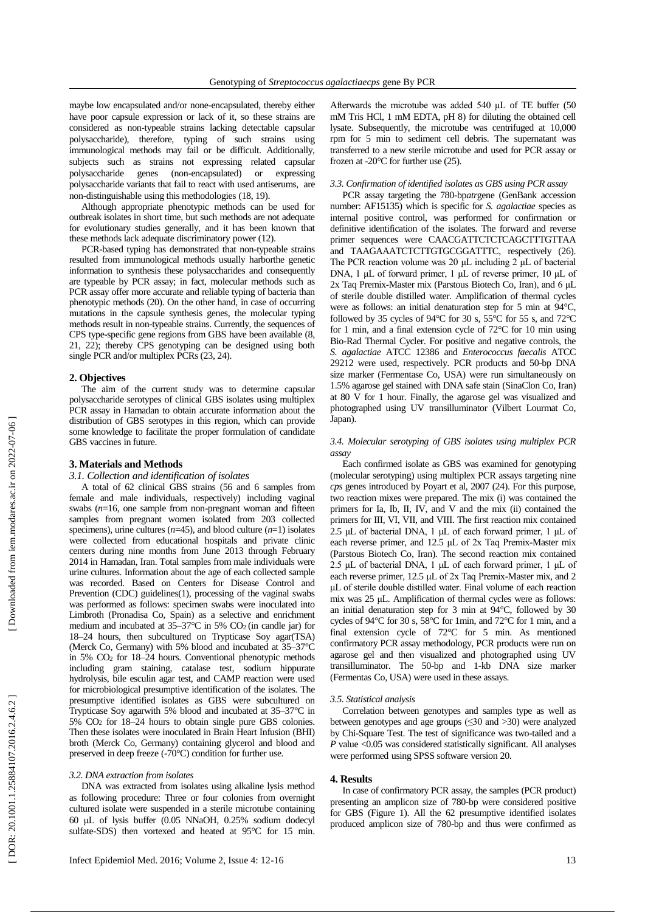maybe low encapsulated and/or none -encapsulated , thereby either have poor capsule expression or lack of it, so these strains are considered as non -typ eable strains lacking detectable capsular polysaccharide ), therefore , typing of such strains using immunological methods may fail or be difficult. Additionally, subjects such as strains not expressing related capsular polysaccharide genes (non-encapsulated) or expressing polysaccharide variants that fail to react with used antiserums, are non -distinguishable using this methodologies (18, 19 ) .

Although appropriate phenotypic methods can be used for outbreak isolates in short time, but such methods are not adequate for evolutionary studies generally, and it has been known that these methods lack adequate discriminatory power (12 ) .

PCR -based typing has demonstrated that non -typeable strains resulted from immunological methods usually harborthe genetic information to synthesis these polysaccharides and consequently are typeable by PCR assay ; in fact, molecular methods such as PCR assay offer more accurate and reliable typing of bacteria than phenotypic methods (20 ) . On the other hand , in case of occurring mutations in the capsule synthesis genes , the molecular typing method s result in non -typeable strains. Currently, the sequences of CPS type -specific gene regions from GBS have been available ( 8, 21, 22 ) ; thereby CPS genotyping can be designed using both single PCR and/or multiplex PCRs (23, 24).

# **2. Objective s**

The aim of the current study was to determin e capsular polysaccharide serotypes of clinical GBS isolates using multiplex PCR assay in Hamadan to obtain accurate information about the distribution of GBS serotypes in this region , which can provide some knowledge to facilitate the proper formulation of candidate GBS vaccines in future .

## **3. Materials and Methods**

## *3.1. Collection and identification of isolates*

A total of 62 clinical GBS strains (56 and 6 samples from female and male individuals, respectively) including vaginal swabs  $(n=16)$ , one sample from non-pregnant woman and fifteen samples from pregnant women isolated from 203 collected specimens), urine cultures  $(n=45)$ , and blood culture  $(n=1)$  isolates were collected from educational hospitals and private clinic centers during nine months from June 2013 through February 2014 in Hamadan, Iran . Total samples from male individuals were urine cultures. Information about the age of each collected sample was recorded. Based on Centers for Disease Control and Prevention (CDC) guidelines(1), processing of the vaginal swabs was performed as follows: specimen swabs were inoculated into Limbroth (Pronadisa Co, Spain) as a selective and enrichment medium and incubated at 35 –37°C in 5% CO2 (in candle jar) for 18 –24 hours, then subcultured on Trypticase Soy agar(TSA) (Merck Co, Germany ) with 5% blood and incubated at 35 –37°C in 5% CO <sup>2</sup> for 18 –24 hours. Conventional phenotypic methods including gram staining, catalase test, sodium hippurate hydrolysis, bile esculin agar test, and CAMP reaction were used for microbiological presumptive identification of the isolates. The presumptive identified isolates as GBS were subcultured on Trypticase Soy agarwith 5% blood and incubated at 35 –37°C in 5% CO <sup>2</sup> for 18 –24 hours to obtain single pure GBS colonies . Then these isolates were inoculated in Brain Heart Infusion (BHI) broth (Merck Co, Germany) containing glycerol and blood and preserved in deep freeze (-70°C) condition for further use.

# *3.2. DNA extraction from isolates*

DNA was extracted from isolates using alkaline lysis method as following procedure : Three or four colonies from overnight cultured isolate were suspended in a sterile microtube containing 60 μL of lysis buffer (0.05 NNaOH, 0.25% sodium dodecyl sulfate-SDS) then vortexed and heated at 95°C for 15 min.

Afterwards the microtube was added 540 μL of TE buffer (50 mM Tris HCl, 1 mM EDTA, pH 8) for diluting the obtained cell lysate . Subsequently , the microtube was centrifuged at 1 0,000 rpm for 5 min to sediment cell debris. The supernatant was transferred to a new sterile microtube and used for PCR assay or frozen at -20 $^{\circ}$ C for further use (25).

## *3.3. Confirmation of identified isolate s as GBS using PCR assay*

PCR assay targeting the 780 -bp*atr*gene (GenBank accession number: AF15135) which is specific for *S. agalactiae* species as internal positive control , was performed for confirmation or definitive identification of the isolates . The forward and reverse primer sequences were CAACGATTCTCTCAGCTTTGTTAA and TAAGAAATCTCTTGTGCGGATTTC, respectively (26). The PCR reaction volume was 20 μL including 2 μL of bacterial DNA, 1 μL of forward primer, 1 μL of reverse primer, 10 μL of 2x Taq Premix -Master mix (Parstous Biotech Co , Iran), and 6 μL of sterile double distilled water. Amplification of thermal cycles were as follows: an initial denaturation step for 5 min at 94°C, followed by 35 cycles of  $94^{\circ}$ C for 30 s, 55 $^{\circ}$ C for 55 s, and 72 $^{\circ}$ C for 1 min, and a final extension cycle of 72°C for 10 min using Bio -Rad Thermal Cycler. For positive and negative controls, the *S. agalactiae* ATCC 12386 and *Enterococcus faecalis* ATCC 29212 were used, respectively. PCR products and 50 -bp DNA size marker (Fermentase Co , USA) were run simultaneously on 1.5% agarose gel stained with DNA safe stain (SinaClon C o , Iran) at 80 V for 1 hour. Finally, the agarose gel was visualized and photographed using UV transilluminator (Vilbert Lourmat Co, Japan) .

## *3.4. Molecular serotyping of GBS isolates using multiplex PCR assay*

Each confirmed isolate as GBS was examined for genotyping (molecular serotyping) using multiplex PCR assays targeting nine *cps* genes introduced by Poyart et al, 2007 (24 ) . For this purpose, two reaction mixes were prepared. The mix (i) was contained the primers for Ia, Ib, II, IV , and V and the mix (ii) contained the primers for III, VI, VII , and VIII. The first reaction mix contained 2.5 μL of bacterial DNA, 1 μL of each forward primer, 1 μL of each reverse primer, and 12.5 μL of 2x Taq Premix-Master mix (Parstous Biotech Co , Iran). The second reaction mix contained 2.5 μL of bacterial DNA, 1 μL of each forward primer, 1 μL of each reverse primer, 12.5 μL of 2x Taq Premix-Master mix, and 2 μL of sterile double distilled water. Final volume of each reaction mix was 25 μL . Amplification of thermal cycles were as follows: an initial denaturation step for 3 min at 94°C , followed by 3 0 cycles of 94°C for 30 s, 5 8°C for 1min, and 72°C for 1 min, and a final extension cycle of 72°C for 5 min. As mentioned confirmatory PCR assay methodology, PCR product s were run on agarose gel and then visualized and photographed using UV transilluminator . The 50 -bp and 1 -kb DNA size marker (Fermentas Co , USA) were used in these assay s .

## *3.5. Statistical analysis*

Correlation between genotypes and samples type as well as between genotypes and age groups (≤30 and >30 ) were analyzed by Chi -Square Test . The test of significance was two -tailed and a *P* value <0.05 was considered statistically significant. All analyses were performed using SPSS software version 20.

#### **4. Results**

In case of confirmatory PCR assay, the samples (PCR product ) presenting an amplicon size of 780 -bp were considered positive for GBS ( Figure 1 ). All the 62 presumptive identified isolates produced amplicon size of 780 -bp and thus were confirmed as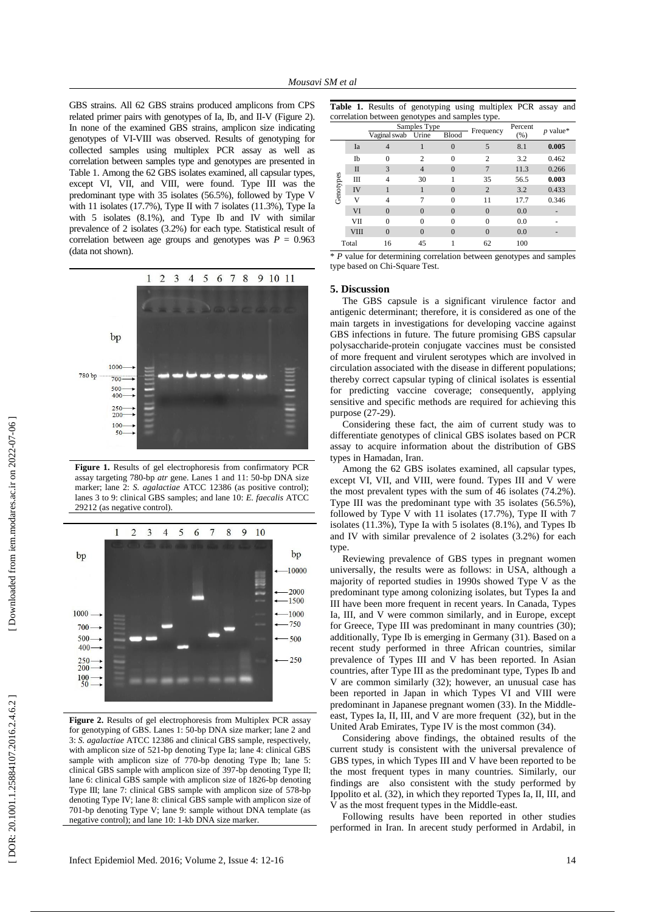GBS strains. All 62 GBS strains produced amplicons from CPS related primer pairs with genotypes of Ia, Ib, and II-V (Figure 2). In non e of the examined GBS strains, amplicon size indicating genotypes of VI -VIII was observed. Results of genotyping for collected samples using multiplex PCR assay as well as correlation between samples type and genotypes are presented in Table 1. Among the 62 GBS isolates examined, all capsular types , except VI, VII , and VIII , were found. Type III was the predominant type with 35 isolates (56.5%), followed by Type V with 11 isolates (17.7%), Type II with 7 isolates (11.3%), Type Ia with 5 isolates (8.1%) , and Type Ib and IV with similar prevalence of 2 isolates (3.2%) for each type. Statistical result of correlation between age groups and genotypes was  $P = 0.963$ (data not shown).



**Figure 1.** Results of gel electrophoresis from confirmatory PCR assay targeting 780 -bp *atr* gene. Lanes 1 and 11: 50 -bp DNA size marker; lane 2: *S. agalactiae* ATCC 12386 (as positive control); lanes 3 to 9: clinical GBS samples; and lane 10: *E. faecalis* ATCC 29212 (as negative control).



**Figure 2.** Results of gel electrophoresis from Multiplex PCR assay for genotyping of GBS. Lanes 1: 50 -bp DNA size marker; lane 2 and 3: *S. agalactiae* ATCC 12386 and clinical GBS sample, respectively, with amplicon size of 521-bp denoting Type Ia; lane 4: clinical GBS sample with amplicon size of 770-bp denoting Type Ib; lane 5: clinical GBS sample with amplicon size of 397 -bp denoting Type II; lane 6: clinical GBS sample with amplicon size of 1826 -bp denoting Type III; lane 7: clinical GBS sample with amplicon size of 578 -bp denoting Type IV; lane 8: clinical GBS sample with amplicon size of 701 -bp denoting Type V; lane 9: sample without DNA template (as negative control); and lane 10: 1 -kb DNA size marker.

|                                                 |  |  | Table 1. Results of genotyping using multiplex PCR assay and |  |  |  |  |  |  |  |
|-------------------------------------------------|--|--|--------------------------------------------------------------|--|--|--|--|--|--|--|
| correlation between genotypes and samples type. |  |  |                                                              |  |  |  |  |  |  |  |

|           | <br>י - יוני |                       |                |                |                |         |            |  |  |  |  |  |
|-----------|--------------|-----------------------|----------------|----------------|----------------|---------|------------|--|--|--|--|--|
|           |              |                       | Samples Type   |                | Frequency      | Percent | $p$ value* |  |  |  |  |  |
|           |              | Urine<br>Vaginal swab |                | Blood          |                | (% )    |            |  |  |  |  |  |
| Genotypes | Ia           | 4                     |                | $\overline{0}$ | 5              | 8.1     | 0.005      |  |  |  |  |  |
|           | Ib           | $\theta$              | $\mathcal{D}$  | $\theta$       | $\mathfrak{D}$ | 3.2     | 0.462      |  |  |  |  |  |
|           | $\mathbf{I}$ | 3                     | $\overline{4}$ | $\overline{0}$ | 7              | 11.3    | 0.266      |  |  |  |  |  |
|           | Ш            | $\overline{4}$        | 30             |                | 35             | 56.5    | 0.003      |  |  |  |  |  |
|           | IV           | 1                     | 1              | $\Omega$       | $\overline{2}$ | 3.2     | 0.433      |  |  |  |  |  |
|           | v            | $\overline{4}$        | 7              | $\theta$       | 11             | 17.7    | 0.346      |  |  |  |  |  |
|           | VI           | $\theta$              | $\Omega$       | $\Omega$       | $\Omega$       | 0.0     |            |  |  |  |  |  |
|           | VII          | $\theta$              | $\Omega$       | $\theta$       | $\theta$       | 0.0     |            |  |  |  |  |  |
|           | <b>VIII</b>  | $\Omega$              | $\Omega$       | $\Omega$       | $\Omega$       | 0.0     |            |  |  |  |  |  |
| Total     |              | 16                    | 45             |                | 62             | 100     |            |  |  |  |  |  |

\* *P* value for determining correlation between genotypes and samples type based on Chi -Square Test.

# **5. Discussion**

The GBS capsule is a significant virulence factor and antigenic determinant ; therefore, it is considered as one of the main targets in investigations for developing vaccine against GBS infections in future. The future promising GBS capsular polysaccharide -protein conjugate vaccines must be consisted of more frequent and virulent serotypes which are involved in circulation associated with the disease in different populations; thereby correct capsular typing of clinical isolates is essential for predicting vaccine coverage ; consequently, applying sensitive and specific methods are required for achieving this purpose (27-29).

Considering these fact, the aim of current study was to differentiate genotypes of clinical GBS isolates based on PCR assay to acquire information about the distribution of GBS types in Hamadan, Iran.

Among the 62 GBS isolates examined, all capsular types , except VI, VII, and VIII, were found. Types III and V were the most prevalent types with the sum of 46 isolates (74.2% ) . Type III was the predominant type with 35 isolates (56.5%) , followed by Type V with 11 isolates (17.7%), Type II with 7 isolates (11.3%), Type Ia with 5 isolates (8.1% ) , and Types Ib and IV with similar prevalence of 2 isolates (3.2% ) for each type .

Reviewing prevalence of GBS type s in pregnant women universally, the results were as follows: in USA, although a majority of reported studies in 1990s showed Type V as the predominant type among colonizing isolates, but Type s Ia and III have been more frequent in recent years. In Canada, Type s Ia, III , and V were common similarly, and in Europe, except for Greece, Type III was predominant in many countries (30 ); additionally, Type Ib is emerging in Germany (31 ). Based on a recent study performed in three African countries, similar prevalence of Type s III and V has been reported. In Asian countries, after Type III as the predominant type, Type s Ib and V are common similarly (32 ) ; however, an unusual case has been reported in Japan in which Types VI and VIII were predominant in Japanese pregnant women (33 ). In the Middle east, Types Ia, II, III, and V are more frequent (32), but in the United Arab Emirates, Type IV is the most common (34 ) .

Considering above findings, the obtained results of the current study is consistent with the universal prevalence of GBS types, in which Type s III and V have been reported to be the most frequent type s in many countries. Similarly, our findings are also consistent with the study performed by Ippolito et al. (32 ) , in which they reported Types Ia, II, III , and V as the most frequent type s in the Middle -east.

Following results have been reported in other studies performed in Iran. In arecent study performed in Ardabil, in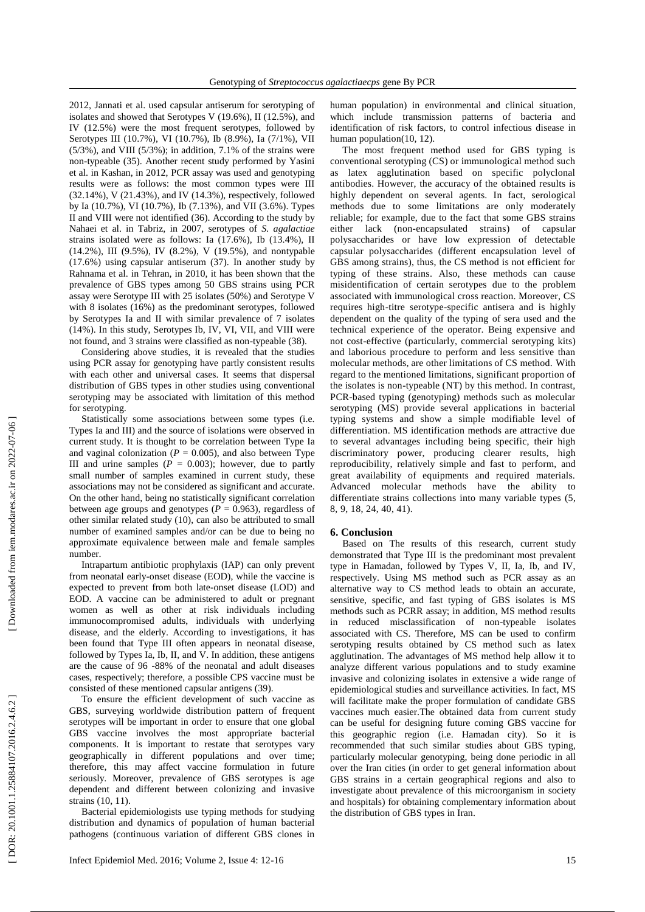2012, Jannati et al. used capsular antiserum for serotyping of isolates and showed that Serotypes V (19.6%), II (12.5%) , and IV (12.5%) were the most frequent serotypes , followed by Serotypes III (10.7%) , VI (10.7%), Ib (8.9%), Ia (7/1%), VII (5/3%) , and VIII (5/3%); in addition, 7.1% of the strains were non -typeable (35 ) . Another recent study performed by Yasini et al. in Kashan, in 2012, PCR assay was used and genotyping results were as follows: the most common types were III (32.14%), V (21.43%), and IV (14.3%), respectively, followed by Ia (10.7%), VI (10.7%), Ib (7.13%) , and VII (3.6%). Types II and VIII were not identified (36 ) . According to the study by Nahaei et al. in Tabriz, in 2007, serotypes of *S. agalactiae* strains isolated were as follows: Ia (17.6%), Ib (13.4%), II (14.2%), III (9.5%), IV (8.2%), V (19.5%), and nontypable (17.6%) using capsular antiserum (37 ). In another study by Rahnama et al. in Tehran, in 2010, it has been shown that the prevalence of GBS types among 50 GBS strains using PCR assay were Serotype III with 25 isolates (50%) and Serotype V with 8 isolates (16%) as the predominant serotypes, followed by Serotype s Ia and II with similar prevalence of 7 isolates (14%). In this study, Serotypes Ib, IV, VI, VII , and VIII were not found , and 3 strains were classified as non -typeable (38 ) .

Considering above studies , it is revealed that the studies using PCR assay for genotyping have partly consisten t results with each other and universal cases . It seems that dispersal distribution of GBS types in other studies using conventional serotyping may be associated with limitation of this method for serotyping .

Statistically some association s between some types (i.e. Type s Ia and III) and the source of isolation s were observed in current study. It is thought to be correlation between Type Ia and vaginal colonization ( $P = 0.005$ ), and also between Type III and urine samples  $(P = 0.003)$ ; however, due to partly small number of samples examined in current study, these association s may not be considered as significant and accurate. On the other hand, being no statistically significant correlation between age groups and genotypes ( $P = 0.963$ ), regardless of other similar related stud y (10 ), can also be attributed to small number of examined samples and/or can be due to being no approximate equivalence between male and female samples number .

Intrapartum antibiotic prophylaxis (IAP) can only prevent from neonatal early -onset disease (EOD), while the vaccine is expected to prevent from both late -onset disease (LOD) and EOD. A vaccine can be administered to adult or pregnant women as well as other at risk individuals including immunocompromised adults, individuals with underlying disease , and the elderly. According to investigations, it has been found that Type III often appear s in neonatal disease , followed by Types Ia, Ib, II , and V. In addition, these antigens are the cause of 96 -88% of the neonatal and adult diseases cases, respectively; therefore, a possible CPS vaccine must be consisted of these mentioned capsular antigens (39 ) .

To ensure the efficient development of such vaccine as GBS, surveying worldwide distribution pattern of frequent serotypes will be important in order to ensure that one global GBS vaccine involves the most appropriate bacterial components. It is important to restate that serotypes vary geographically in different populations and over time ; therefore , this may affect vaccine formulation in future seriously. Moreover, prevalence of GBS serotypes is age dependent and different between colonizing and invasive strains (10, 11).

Bacterial epidemiologists use typing methods for studying distribution and dynamics of population of human bacterial pathogens (continuous variation of different GBS clones in human population) in environmental and clinical situation , which includ e transmission patterns of bacteria and identification of risk factors , to control infectious disease in human population(10, 12).

The most frequent method used for GBS typing is conventional serotyping (CS) or immunological method such as latex agglutination based on specific polyclonal antibodies. However, the accuracy of the obtained results is highly dependent on several agents. In fact, serological methods due to some limitations are only moderately reliable; for example, due to the fact that some GBS strains either lack (non -encapsulated strains) of capsular polysaccharides or have low expression of detectable capsular polysaccharides (different encapsulation level of GBS among strains), thus, the CS method is not efficient for typing of these strains. Also, these methods can cause misidentification of certain serotypes due to the problem associated with immunological cross reaction. Moreover, CS requires high -titre serotype -specific antisera and is highly dependent on the quality of the typing of sera used and the technical experience of the operator. Being expensive and not cost -effective (particularly, commercial serotyping kits) and laborious procedure to perform and less sensitive than molecular methods, are other limitations of CS method. With regard to the mentioned limitations, significant proportion of the isolates is non -typeable (NT) by this method. In contrast, PCR -based typing (genotyping) methods such as molecular serotyping (MS) provid e several applications in bacterial typing systems and show a simple modifiable level of differentiation. MS identification methods are attractive due to several advantages including being specific, their high discriminatory power, producing clearer results, high reproducibility, relatively simple and fast to perform, and great availability of equipments and required materials. Advanced molecular methods have the ability to differentiate strains collections into many variable types ( 5, 8, 9, 18, 24, 40, 41 ).

## **6. Conclusion**

Based on The results of this research, current study demonstrated that Type III is the predominant most prevalent type in Hamadan, followed by Types V, II, Ia, Ib, and IV, respectively. Using MS method such as PCR assay as an alternative way to CS method leads to obtain an accurate, sensitive, specific, and fast typing of GBS isolates is MS methods such as PCRR assay; in addition, MS method results in reduced misclassification of non -typeable isolates associated with CS. Therefore, MS can be used to confirm serotyping results obtained by CS method such as latex agglutination. The advantages of MS method help allow it to analyze different various populations and to study examine invasive and colonizing isolates in extensive a wide range of epidemiological studies and surveillance activities. In fact, MS will facilitate make the proper formulation of candidate GBS vaccines much easier.The obtained data from current study can be useful for designing future coming GBS vaccine for this geographic region (i.e. Hamadan city ). So it is recommended that such similar studies about GBS typing , particularly molecular genotyping , being done periodic in all over the Iran cities (in order to get general information about GBS strains in a certain geographical regions and also to investigate about prevalence of this microorganism in society and hospitals) for obtaining complementary information about the distribution of GBS types in Iran .